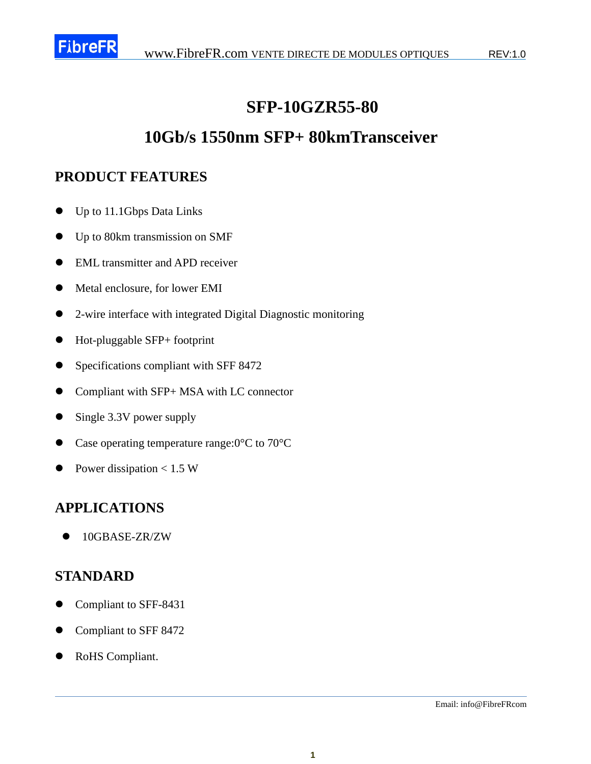

## **SFP-10GZR55-80**

## **10Gb/s 1550nm SFP+ 80kmTransceiver**

### **PRODUCT FEATURES**

- Up to 11.1Gbps Data Links
- Up to 80km transmission on SMF
- EML transmitter and APD receiver
- $\bullet$  Metal enclosure, for lower EMI
- 2-wire interface with integrated Digital Diagnostic monitoring
- Hot-pluggable SFP+ footprint
- Specifications compliant with SFF 8472
- Compliant with SFP+ MSA with LC connector
- Single 3.3V power supply
- Case operating temperature range:  $0 \text{ C}$  to  $70 \text{ C}$
- Power dissipation  $< 1.5 W$

### **APPLICATIONS**

 $\bullet$  10GBASE-ZR/ZW

### **STANDARD**

- Compliant to SFF-8431
- Compliant to SFF 8472
- RoHS Compliant.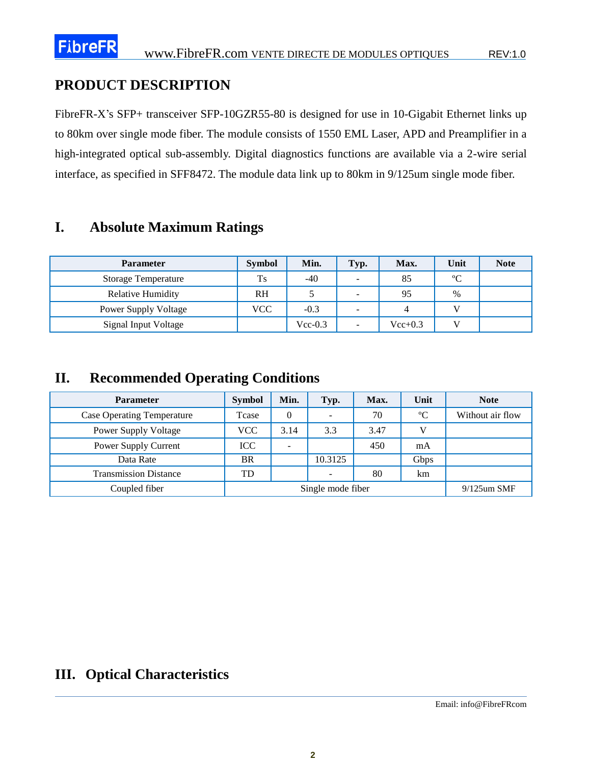### **PRODUCT DESCRIPTION**

FibreFR-X's SFP+ transceiver SFP-10GZR55-80 is designed for use in 10-Gigabit Ethernet links up to 80km over single mode fiber. The module consists of 1550 EML Laser, APD and Preamplifier in a high-integrated optical sub-assembly. Digital diagnostics functions are available via a 2-wire serial interface, as specified in SFF8472. The module data link up to 80km in 9/125um single mode fiber.

### **I. Absolute Maximum Ratings**

| <b>Parameter</b>            | <b>Symbol</b> | Min.      | Typ.                     | Max.      | Unit        | <b>Note</b> |
|-----------------------------|---------------|-----------|--------------------------|-----------|-------------|-------------|
| <b>Storage Temperature</b>  | <b>Ts</b>     | $-40$     | $\overline{\phantom{a}}$ | 85        | $\mathbf C$ |             |
| Relative Humidity           | <b>RH</b>     |           | -                        | 95        | $\%$        |             |
| <b>Power Supply Voltage</b> | VCC           | $-0.3$    | $\overline{\phantom{a}}$ |           |             |             |
| <b>Signal Input Voltage</b> |               | $Vec-0.3$ | $\overline{\phantom{a}}$ | $Vec+0.3$ |             |             |

### **II. Recommended Operating Conditions**

| <b>Parameter</b>                  | <b>Symbol</b>     | Min. | Typ.                     | Max. | Unit           | <b>Note</b>      |
|-----------------------------------|-------------------|------|--------------------------|------|----------------|------------------|
| <b>Case Operating Temperature</b> | <b>T</b> case     | 0    | $\overline{\phantom{a}}$ | 70   | C              | Without air flow |
| <b>Power Supply Voltage</b>       | <b>VCC</b>        | 3.14 | 3.3                      | 3.47 | V              |                  |
| Power Supply Current              | <b>ICC</b>        | -    |                          | 450  | mA             |                  |
| Data Rate                         | BR                |      | 10.3125                  |      | Gbps           |                  |
| <b>Transmission Distance</b>      | TD                |      | $\overline{\phantom{a}}$ | 80   | km             |                  |
| Coupled fiber                     | Single mode fiber |      |                          |      | $9/125$ um SMF |                  |

### **III. Optical Characteristics**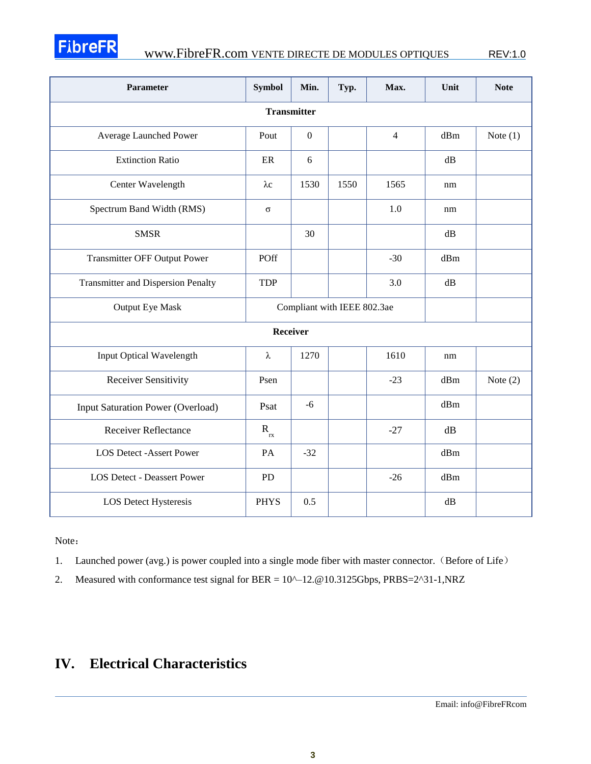

# FIbreFR
WWW.FibreFR.com VENTE DIRECTE DE MODULES OPTIQUES
REV:1.0

| Parameter                                 | <b>Symbol</b>                 | Min.                        | Typ. | Max.           | Unit | <b>Note</b> |
|-------------------------------------------|-------------------------------|-----------------------------|------|----------------|------|-------------|
| <b>Transmitter</b>                        |                               |                             |      |                |      |             |
| Average Launched Power                    | Pout                          | $\boldsymbol{0}$            |      | $\overline{4}$ | dBm  | Note $(1)$  |
| <b>Extinction Ratio</b>                   | ER                            | 6                           |      |                | dB   |             |
| Center Wavelength                         | $\lambda c$                   | 1530                        | 1550 | 1565           | nm   |             |
| Spectrum Band Width (RMS)                 | $\sigma$                      |                             |      | 1.0            | nm   |             |
| <b>SMSR</b>                               |                               | 30                          |      |                | dB   |             |
| <b>Transmitter OFF Output Power</b>       | POff                          |                             |      | $-30$          | dBm  |             |
| <b>Transmitter and Dispersion Penalty</b> | <b>TDP</b>                    |                             |      | 3.0            | dB   |             |
| <b>Output Eye Mask</b>                    |                               | Compliant with IEEE 802.3ae |      |                |      |             |
| Receiver                                  |                               |                             |      |                |      |             |
| Input Optical Wavelength                  | λ                             | 1270                        |      | 1610           | nm   |             |
| <b>Receiver Sensitivity</b>               | Psen                          |                             |      | $-23$          | dBm  | Note $(2)$  |
| Input Saturation Power (Overload)         | Psat                          | $-6$                        |      |                | dBm  |             |
| <b>Receiver Reflectance</b>               | $\mathbf{R}_{_{\mathbf{rx}}}$ |                             |      | $-27$          | dB   |             |
| <b>LOS Detect -Assert Power</b>           | PA                            | $-32$                       |      |                | dBm  |             |
| <b>LOS Detect - Deassert Power</b>        | <b>PD</b>                     |                             |      | $-26$          | dBm  |             |
| LOS Detect Hysteresis                     | <b>PHYS</b>                   | 0.5                         |      |                | dB   |             |

Note:

1. Launched power (avg.) is power coupled into a single mode fiber with master connector. (Before of Life)

2. Measured with conformance test signal for BER = 10^-12.@10.3125Gbps, PRBS=2^31-1,NRZ

### **IV. Electrical Characteristics**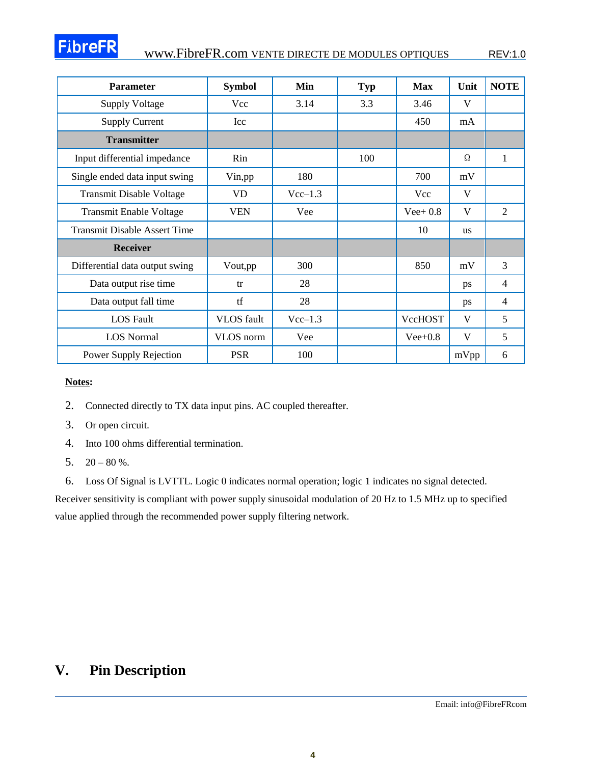#### [www.FibreFR.com](http://www.fibrefr.com/) VENTE DIRECTE DE MODULES OPTIQUES REV:1.0

| <b>Parameter</b>                    | <b>Symbol</b>     | Min       | <b>Typ</b> | <b>Max</b>  | Unit      | <b>NOTE</b>    |
|-------------------------------------|-------------------|-----------|------------|-------------|-----------|----------------|
| <b>Supply Voltage</b>               | Vcc               | 3.14      | 3.3        | 3.46        | V         |                |
| <b>Supply Current</b>               | Icc               |           |            | 450         | mA        |                |
| <b>Transmitter</b>                  |                   |           |            |             |           |                |
| Input differential impedance        | Rin               |           | 100        |             | Ω         | 1              |
| Single ended data input swing       | Vin, pp           | 180       |            | 700         | mV        |                |
| <b>Transmit Disable Voltage</b>     | VD.               | $Vec-1.3$ |            | Vcc         | V         |                |
| <b>Transmit Enable Voltage</b>      | <b>VEN</b>        | Vee       |            | Vee + $0.8$ | V         | $\overline{2}$ |
| <b>Transmit Disable Assert Time</b> |                   |           |            | 10          | <b>us</b> |                |
| <b>Receiver</b>                     |                   |           |            |             |           |                |
| Differential data output swing      | Vout,pp           | 300       |            | 850         | mV        | $\overline{3}$ |
| Data output rise time               | tr                | 28        |            |             | ps        | 4              |
| Data output fall time               | tf                | 28        |            |             | ps        | 4              |
| <b>LOS</b> Fault                    | <b>VLOS</b> fault | $Vec-1.3$ |            | VccHOST     | V         | 5              |
| <b>LOS Normal</b>                   | VLOS norm         | Vee       |            | $Vee+0.8$   | V         | 5              |
| Power Supply Rejection              | <b>PSR</b>        | 100       |            |             | mVpp      | 6              |

#### **Notes:**

- 2. Connected directly to TX data input pins. AC coupled thereafter.
- 3. Or open circuit.
- 4. Into 100 ohms differential termination.
- 5.  $20 80 %$ .
- 6. Loss Of Signal is LVTTL. Logic 0 indicates normal operation; logic 1 indicates no signal detected.

Receiver sensitivity is compliant with power supply sinusoidal modulation of 20 Hz to 1.5 MHz up to specified value applied through the recommended power supply filtering network.

### **V. Pin Description**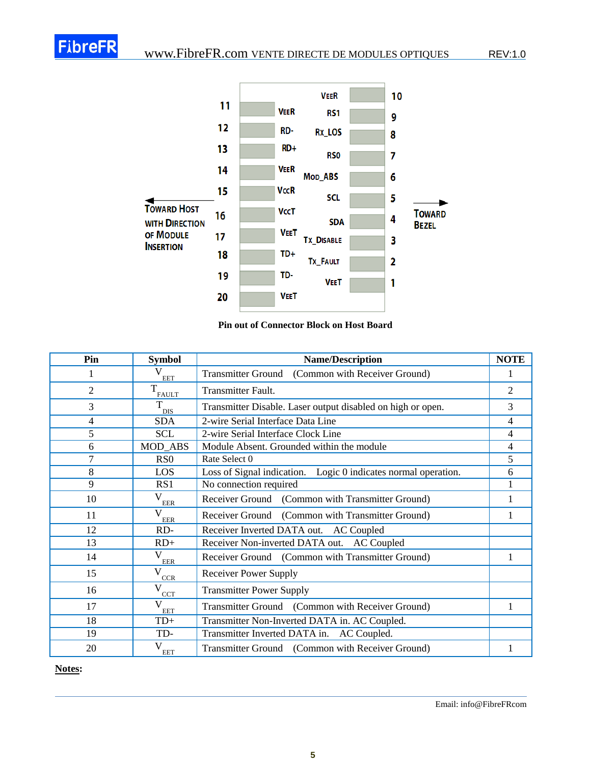

#### **Pin out of Connector Block on Host Board**

| Pin            | <b>Symbol</b>              | <b>NOTE</b><br><b>Name/Description</b>                         |   |  |  |
|----------------|----------------------------|----------------------------------------------------------------|---|--|--|
| 1              | <b>EET</b>                 | Transmitter Ground (Common with Receiver Ground)               |   |  |  |
| $\overline{2}$ | T<br><b>FAULT</b>          | Transmitter Fault.                                             |   |  |  |
| 3              | T<br><b>DIS</b>            | Transmitter Disable. Laser output disabled on high or open.    |   |  |  |
| $\overline{4}$ | <b>SDA</b>                 | 2-wire Serial Interface Data Line                              |   |  |  |
| 5              | <b>SCL</b>                 | 2-wire Serial Interface Clock Line                             | 4 |  |  |
| 6              | MOD_ABS                    | Module Absent. Grounded within the module                      | 4 |  |  |
| 7              | R <sub>S</sub> O           | Rate Select 0                                                  | 5 |  |  |
| 8              | LOS                        | Loss of Signal indication. Logic 0 indicates normal operation. | 6 |  |  |
| 9              | RS1                        | No connection required                                         |   |  |  |
| 10             | V<br><b>EER</b>            | Receiver Ground (Common with Transmitter Ground)               |   |  |  |
| 11             | $\mathbf{V}$<br><b>EER</b> | Receiver Ground (Common with Transmitter Ground)               |   |  |  |
| 12             | $RD-$                      | Receiver Inverted DATA out. AC Coupled                         |   |  |  |
| 13             | $RD+$                      | Receiver Non-inverted DATA out. AC Coupled                     |   |  |  |
| 14             | V<br><b>EER</b>            | Receiver Ground (Common with Transmitter Ground)               | 1 |  |  |
| 15             | V<br>CCR                   | <b>Receiver Power Supply</b>                                   |   |  |  |
| 16             | V<br><b>CCT</b>            | <b>Transmitter Power Supply</b>                                |   |  |  |
| 17             | $\mathbf{V}$<br><b>EET</b> | Transmitter Ground (Common with Receiver Ground)               | 1 |  |  |
| 18             | $TD+$                      | Transmitter Non-Inverted DATA in. AC Coupled.                  |   |  |  |
| 19             | TD-                        | Transmitter Inverted DATA in. AC Coupled.                      |   |  |  |
| 20             | V<br><b>EET</b>            | Transmitter Ground (Common with Receiver Ground)               |   |  |  |

**Notes:**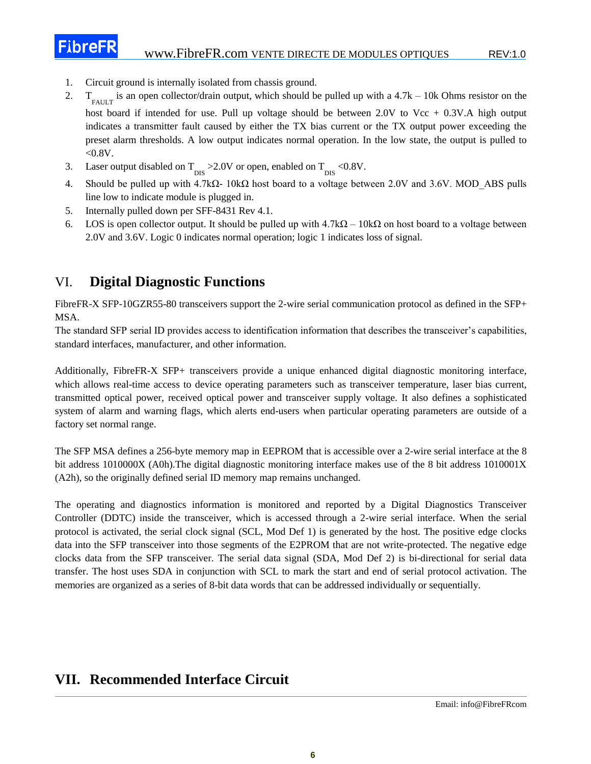1. Circuit ground is internally isolated from chassis ground.

**FibreFR** 

- $2.$  $F_A U L T$  is an open collector/drain output, which should be pulled up with a 4.7k – 10k Ohms resistor on the host board if intended for use. Pull up voltage should be between  $2.0V$  to Vcc + 0.3V.A high output indicates a transmitter fault caused by either the TX bias current or the TX output power exceeding the preset alarm thresholds. A low output indicates normal operation. In the low state, the output is pulled to  $< 0.8V$ .
- 3. Laser output disabled on  $T_{\text{DIS}} > 2.0V$  or open, enabled on  $T_{\text{DIS}} < 0.8V$ .
- 4. Should be pulled up with 4.7kΩ- 10kΩ host board to a voltage between 2.0V and 3.6V. MOD\_ABS pulls line low to indicate module is plugged in.
- 5. Internally pulled down per SFF-8431 Rev 4.1.
- 6. LOS is open collector output. It should be pulled up with  $4.7k\Omega 10k\Omega$  on host board to a voltage between 2.0V and 3.6V. Logic 0 indicates normal operation; logic 1 indicates loss of signal.

### VI. **Digital Diagnostic Functions**

FibreFR-X SFP-10GZR55-80 transceivers support the 2-wire serial communication protocol as defined in the SFP+ MSA.

The standard SFP serial ID provides access to identification information that describes the transceiver's capabilities, standard interfaces, manufacturer, and other information.

Additionally, FibreFR-X SFP+ transceivers provide a unique enhanced digital diagnostic monitoring interface, which allows real-time access to device operating parameters such as transceiver temperature, laser bias current, transmitted optical power, received optical power and transceiver supply voltage. It also defines a sophisticated system of alarm and warning flags, which alerts end-users when particular operating parameters are outside of a factory set normal range.

The SFP MSA defines a 256-byte memory map in EEPROM that is accessible over a 2-wire serial interface at the 8 bit address 1010000X (A0h).The digital diagnostic monitoring interface makes use of the 8 bit address 1010001X (A2h), so the originally defined serial ID memory map remains unchanged.

The operating and diagnostics information is monitored and reported by a Digital Diagnostics Transceiver Controller (DDTC) inside the transceiver, which is accessed through a 2-wire serial interface. When the serial protocol is activated, the serial clock signal (SCL, Mod Def 1) is generated by the host. The positive edge clocks data into the SFP transceiver into those segments of the E2PROM that are not write-protected. The negative edge clocks data from the SFP transceiver. The serial data signal (SDA, Mod Def 2) is bi-directional for serial data transfer. The host uses SDA in conjunction with SCL to mark the start and end of serial protocol activation. The memories are organized as a series of 8-bit data words that can be addressed individually or sequentially.

### **VII. Recommended Interface Circuit**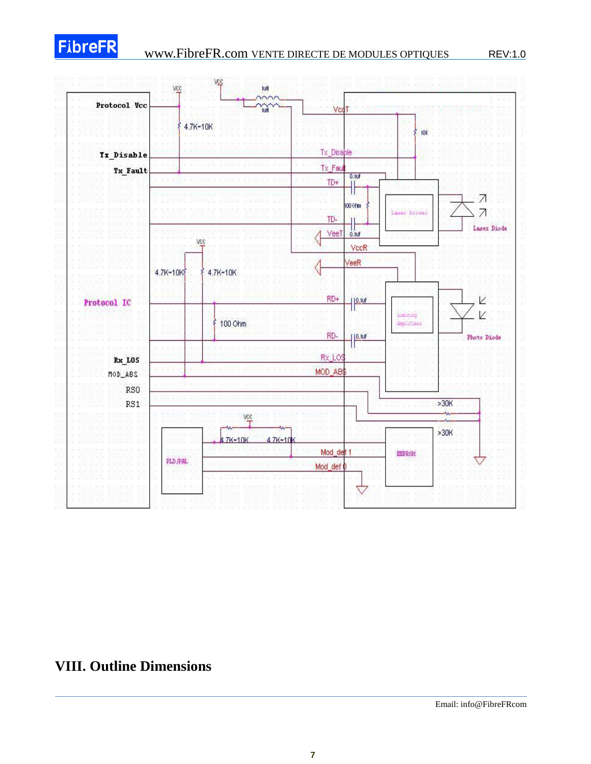

# **FibreFR** [www.FibreFR.com](http://www.fibrefr.com/) VENTE DIRECTE DE MODULES OPTIQUES REV:1.0



### **VIII. Outline Dimensions**